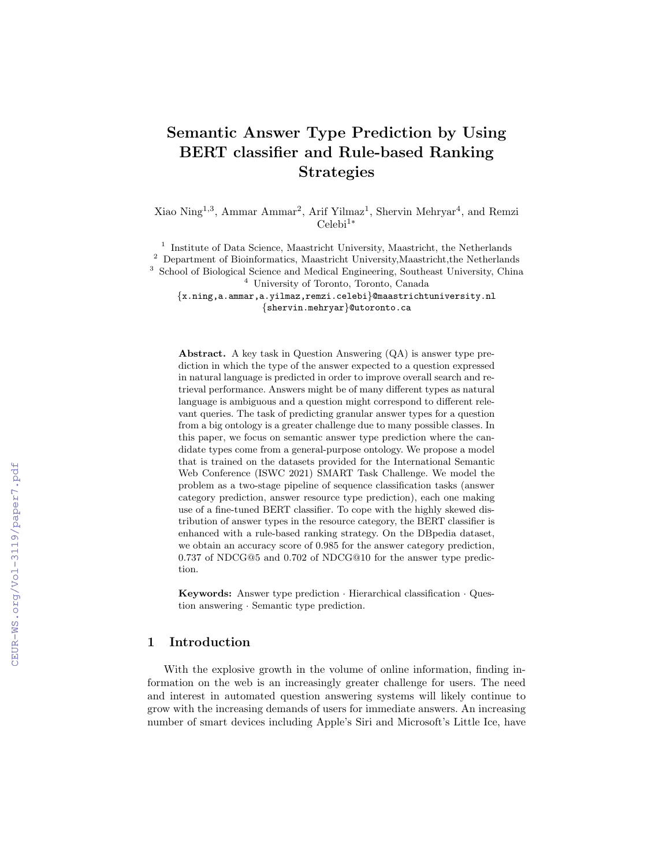# Semantic Answer Type Prediction by Using BERT classifier and Rule-based Ranking Strategies

Xiao Ning<sup>1,3</sup>, Ammar Ammar<sup>2</sup>, Arif Yilmaz<sup>1</sup>, Shervin Mehryar<sup>4</sup>, and Remzi Celebi1<sup>∗</sup>

<sup>1</sup> Institute of Data Science, Maastricht University, Maastricht, the Netherlands  $^{\rm 2}$  Department of Bioinformatics, Maastricht University, Maastricht, the Netherlands <sup>3</sup> School of Biological Science and Medical Engineering, Southeast University, China

<sup>4</sup> University of Toronto, Toronto, Canada

{x.ning,a.ammar,a.yilmaz,remzi.celebi}@maastrichtuniversity.nl {shervin.mehryar}@utoronto.ca

Abstract. A key task in Question Answering (QA) is answer type prediction in which the type of the answer expected to a question expressed in natural language is predicted in order to improve overall search and retrieval performance. Answers might be of many different types as natural language is ambiguous and a question might correspond to different relevant queries. The task of predicting granular answer types for a question from a big ontology is a greater challenge due to many possible classes. In this paper, we focus on semantic answer type prediction where the candidate types come from a general-purpose ontology. We propose a model that is trained on the datasets provided for the International Semantic Web Conference (ISWC 2021) SMART Task Challenge. We model the problem as a two-stage pipeline of sequence classification tasks (answer category prediction, answer resource type prediction), each one making use of a fine-tuned BERT classifier. To cope with the highly skewed distribution of answer types in the resource category, the BERT classifier is enhanced with a rule-based ranking strategy. On the DBpedia dataset, we obtain an accuracy score of 0.985 for the answer category prediction, 0.737 of NDCG@5 and 0.702 of NDCG@10 for the answer type prediction.

Keywords: Answer type prediction · Hierarchical classification · Question answering · Semantic type prediction.

### 1 Introduction

With the explosive growth in the volume of online information, finding information on the web is an increasingly greater challenge for users. The need and interest in automated question answering systems will likely continue to grow with the increasing demands of users for immediate answers. An increasing number of smart devices including Apple's Siri and Microsoft's Little Ice, have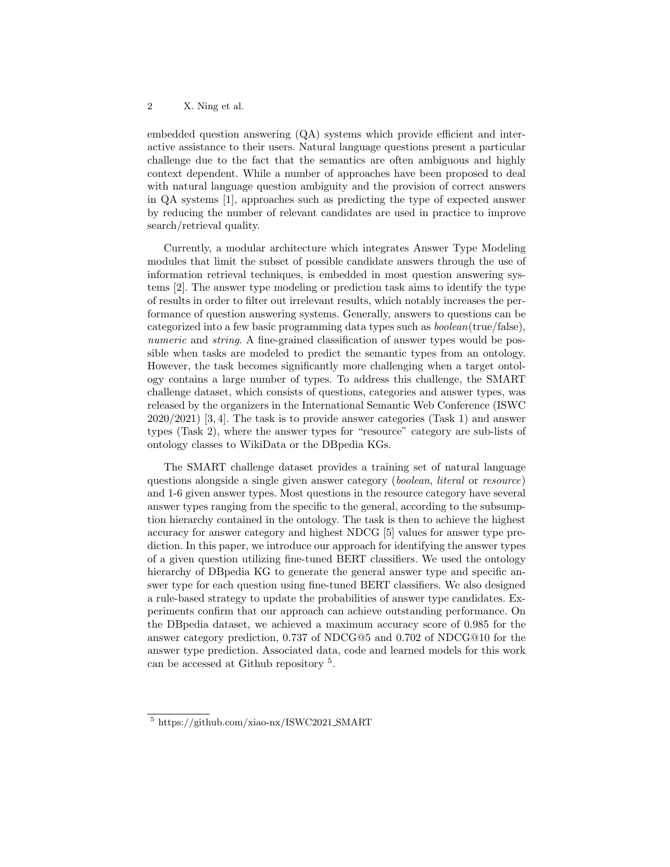embedded question answering (QA) systems which provide efficient and interactive assistance to their users. Natural language questions present a particular challenge due to the fact that the semantics are often ambiguous and highly context dependent. While a number of approaches have been proposed to deal with natural language question ambiguity and the provision of correct answers in QA systems [1], approaches such as predicting the type of expected answer by reducing the number of relevant candidates are used in practice to improve search/retrieval quality.

Currently, a modular architecture which integrates Answer Type Modeling modules that limit the subset of possible candidate answers through the use of information retrieval techniques, is embedded in most question answering systems [2]. The answer type modeling or prediction task aims to identify the type of results in order to filter out irrelevant results, which notably increases the performance of question answering systems. Generally, answers to questions can be categorized into a few basic programming data types such as boolean(true/false), numeric and *string*. A fine-grained classification of answer types would be possible when tasks are modeled to predict the semantic types from an ontology. However, the task becomes significantly more challenging when a target ontology contains a large number of types. To address this challenge, the SMART challenge dataset, which consists of questions, categories and answer types, was released by the organizers in the International Semantic Web Conference (ISWC 2020/2021) [3, 4]. The task is to provide answer categories (Task 1) and answer types (Task 2), where the answer types for "resource" category are sub-lists of ontology classes to WikiData or the DBpedia KGs.

The SMART challenge dataset provides a training set of natural language questions alongside a single given answer category (boolean, literal or resource) and 1-6 given answer types. Most questions in the resource category have several answer types ranging from the specific to the general, according to the subsumption hierarchy contained in the ontology. The task is then to achieve the highest accuracy for answer category and highest NDCG [5] values for answer type prediction. In this paper, we introduce our approach for identifying the answer types of a given question utilizing fine-tuned BERT classifiers. We used the ontology hierarchy of DB pedia KG to generate the general answer type and specific answer type for each question using fine-tuned BERT classifiers. We also designed a rule-based strategy to update the probabilities of answer type candidates. Experiments confirm that our approach can achieve outstanding performance. On the DBpedia dataset, we achieved a maximum accuracy score of 0.985 for the answer category prediction, 0.737 of NDCG@5 and 0.702 of NDCG@10 for the answer type prediction. Associated data, code and learned models for this work can be accessed at Github repository <sup>5</sup> .

<sup>5</sup> https://github.com/xiao-nx/ISWC2021 SMART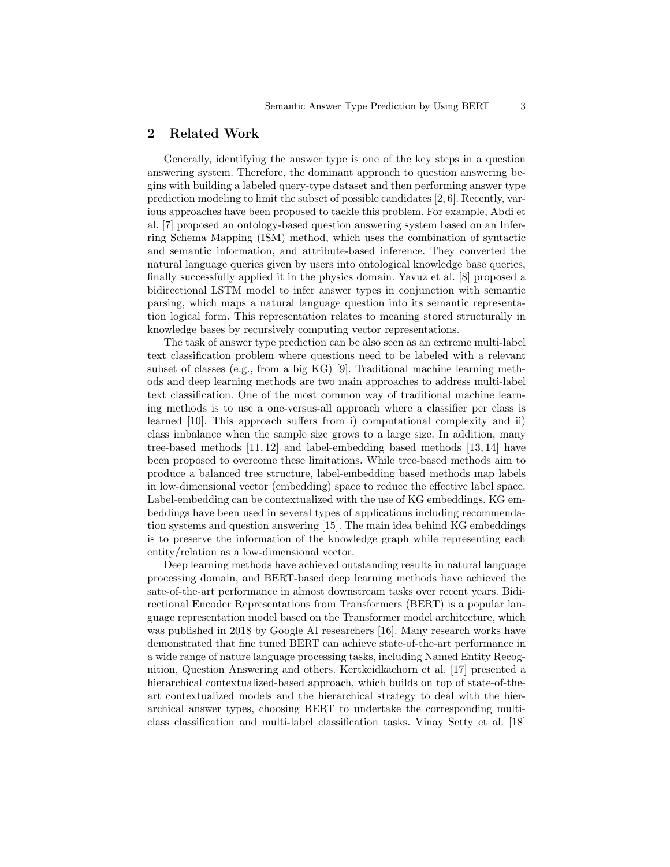## 2 Related Work

Generally, identifying the answer type is one of the key steps in a question answering system. Therefore, the dominant approach to question answering begins with building a labeled query-type dataset and then performing answer type prediction modeling to limit the subset of possible candidates [2, 6]. Recently, various approaches have been proposed to tackle this problem. For example, Abdi et al. [7] proposed an ontology-based question answering system based on an Inferring Schema Mapping (ISM) method, which uses the combination of syntactic and semantic information, and attribute-based inference. They converted the natural language queries given by users into ontological knowledge base queries, finally successfully applied it in the physics domain. Yavuz et al. [8] proposed a bidirectional LSTM model to infer answer types in conjunction with semantic parsing, which maps a natural language question into its semantic representation logical form. This representation relates to meaning stored structurally in knowledge bases by recursively computing vector representations.

The task of answer type prediction can be also seen as an extreme multi-label text classification problem where questions need to be labeled with a relevant subset of classes (e.g., from a big KG) [9]. Traditional machine learning methods and deep learning methods are two main approaches to address multi-label text classification. One of the most common way of traditional machine learning methods is to use a one-versus-all approach where a classifier per class is learned [10]. This approach suffers from i) computational complexity and ii) class imbalance when the sample size grows to a large size. In addition, many tree-based methods [11, 12] and label-embedding based methods [13, 14] have been proposed to overcome these limitations. While tree-based methods aim to produce a balanced tree structure, label-embedding based methods map labels in low-dimensional vector (embedding) space to reduce the effective label space. Label-embedding can be contextualized with the use of KG embeddings. KG embeddings have been used in several types of applications including recommendation systems and question answering [15]. The main idea behind KG embeddings is to preserve the information of the knowledge graph while representing each entity/relation as a low-dimensional vector.

Deep learning methods have achieved outstanding results in natural language processing domain, and BERT-based deep learning methods have achieved the sate-of-the-art performance in almost downstream tasks over recent years. Bidirectional Encoder Representations from Transformers (BERT) is a popular language representation model based on the Transformer model architecture, which was published in 2018 by Google AI researchers [16]. Many research works have demonstrated that fine tuned BERT can achieve state-of-the-art performance in a wide range of nature language processing tasks, including Named Entity Recognition, Question Answering and others. Kertkeidkachorn et al. [17] presented a hierarchical contextualized-based approach, which builds on top of state-of-theart contextualized models and the hierarchical strategy to deal with the hierarchical answer types, choosing BERT to undertake the corresponding multiclass classification and multi-label classification tasks. Vinay Setty et al. [18]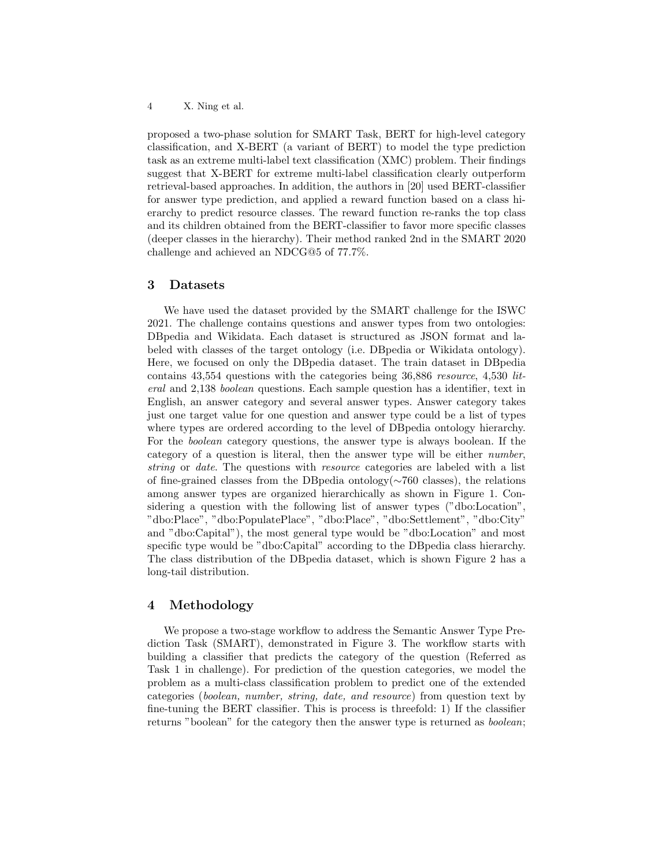proposed a two-phase solution for SMART Task, BERT for high-level category classification, and X-BERT (a variant of BERT) to model the type prediction task as an extreme multi-label text classification (XMC) problem. Their findings suggest that X-BERT for extreme multi-label classification clearly outperform retrieval-based approaches. In addition, the authors in [20] used BERT-classifier for answer type prediction, and applied a reward function based on a class hierarchy to predict resource classes. The reward function re-ranks the top class and its children obtained from the BERT-classifier to favor more specific classes (deeper classes in the hierarchy). Their method ranked 2nd in the SMART 2020 challenge and achieved an NDCG@5 of 77.7%.

#### 3 Datasets

We have used the dataset provided by the SMART challenge for the ISWC 2021. The challenge contains questions and answer types from two ontologies: DBpedia and Wikidata. Each dataset is structured as JSON format and labeled with classes of the target ontology (i.e. DBpedia or Wikidata ontology). Here, we focused on only the DBpedia dataset. The train dataset in DBpedia contains 43,554 questions with the categories being 36,886 resource, 4,530 literal and 2,138 boolean questions. Each sample question has a identifier, text in English, an answer category and several answer types. Answer category takes just one target value for one question and answer type could be a list of types where types are ordered according to the level of DBpedia ontology hierarchy. For the boolean category questions, the answer type is always boolean. If the category of a question is literal, then the answer type will be either number, string or date. The questions with resource categories are labeled with a list of fine-grained classes from the DBpedia ontology(∼760 classes), the relations among answer types are organized hierarchically as shown in Figure 1. Considering a question with the following list of answer types ("dbo:Location", "dbo:Place", "dbo:PopulatePlace", "dbo:Place", "dbo:Settlement", "dbo:City" and "dbo:Capital"), the most general type would be "dbo:Location" and most specific type would be "dbo:Capital" according to the DBpedia class hierarchy. The class distribution of the DBpedia dataset, which is shown Figure 2 has a long-tail distribution.

### 4 Methodology

We propose a two-stage workflow to address the Semantic Answer Type Prediction Task (SMART), demonstrated in Figure 3. The workflow starts with building a classifier that predicts the category of the question (Referred as Task 1 in challenge). For prediction of the question categories, we model the problem as a multi-class classification problem to predict one of the extended categories (boolean, number, string, date, and resource) from question text by fine-tuning the BERT classifier. This is process is threefold: 1) If the classifier returns "boolean" for the category then the answer type is returned as *boolean*;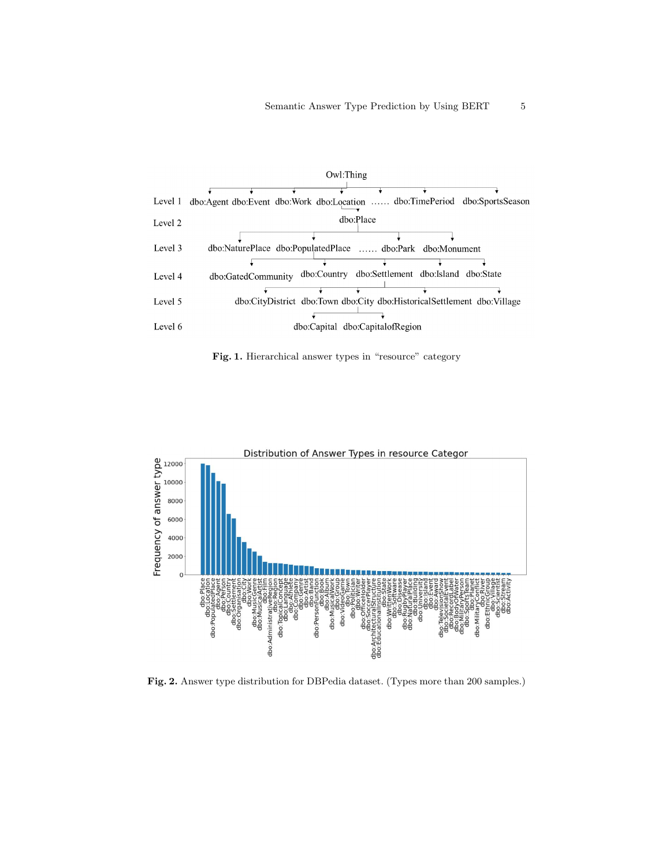

Fig. 1. Hierarchical answer types in "resource" category



Fig. 2. Answer type distribution for DBPedia dataset. (Types more than 200 samples.)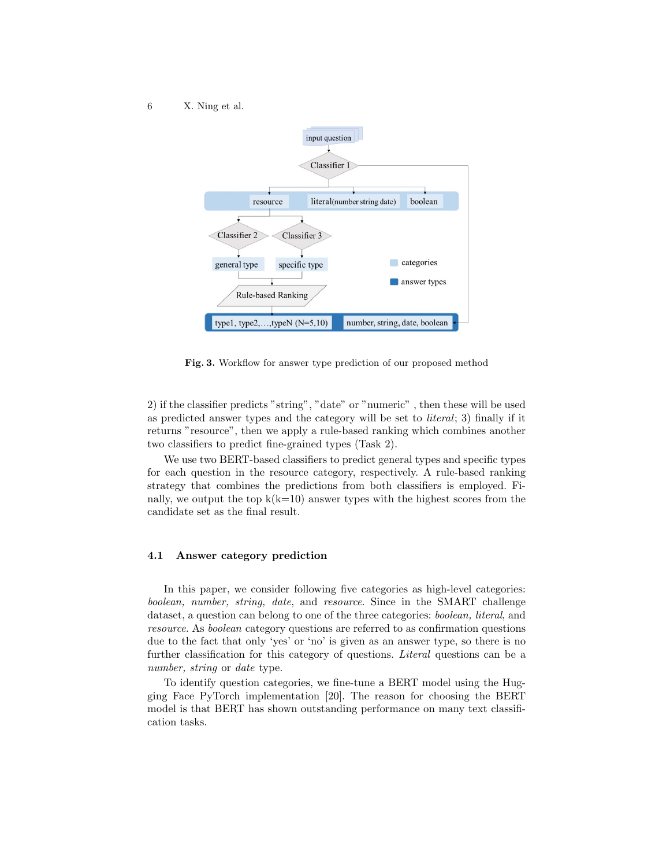

Fig. 3. Workflow for answer type prediction of our proposed method

2) if the classifier predicts "string", "date" or "numeric" , then these will be used as predicted answer types and the category will be set to literal; 3) finally if it returns "resource", then we apply a rule-based ranking which combines another two classifiers to predict fine-grained types (Task 2).

We use two BERT-based classifiers to predict general types and specific types for each question in the resource category, respectively. A rule-based ranking strategy that combines the predictions from both classifiers is employed. Finally, we output the top  $k(k=10)$  answer types with the highest scores from the candidate set as the final result.

#### 4.1 Answer category prediction

In this paper, we consider following five categories as high-level categories: boolean, number, string, date, and resource. Since in the SMART challenge dataset, a question can belong to one of the three categories: boolean, literal, and resource. As boolean category questions are referred to as confirmation questions due to the fact that only 'yes' or 'no' is given as an answer type, so there is no further classification for this category of questions. Literal questions can be a number, string or date type.

To identify question categories, we fine-tune a BERT model using the Hugging Face PyTorch implementation [20]. The reason for choosing the BERT model is that BERT has shown outstanding performance on many text classification tasks.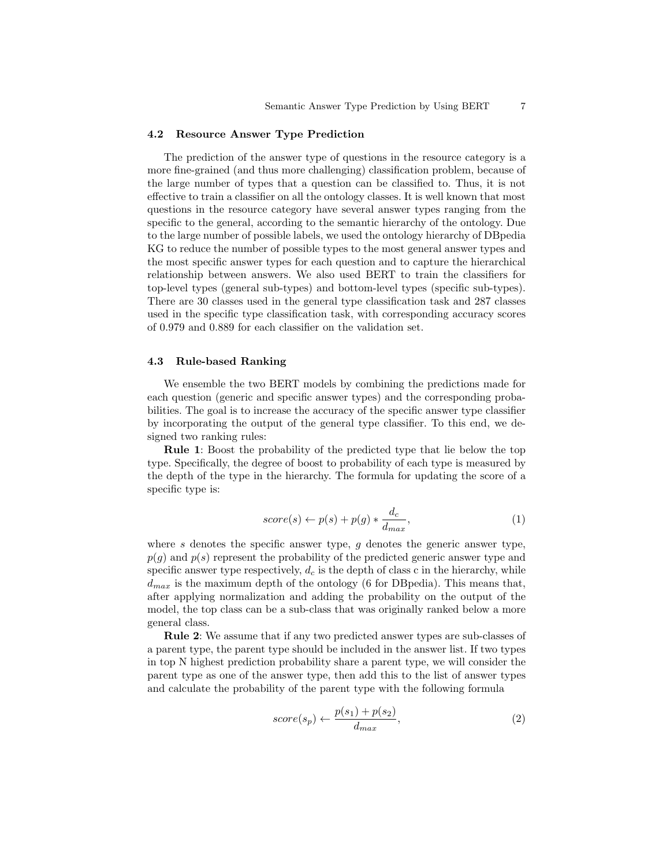#### 4.2 Resource Answer Type Prediction

The prediction of the answer type of questions in the resource category is a more fine-grained (and thus more challenging) classification problem, because of the large number of types that a question can be classified to. Thus, it is not effective to train a classifier on all the ontology classes. It is well known that most questions in the resource category have several answer types ranging from the specific to the general, according to the semantic hierarchy of the ontology. Due to the large number of possible labels, we used the ontology hierarchy of DBpedia KG to reduce the number of possible types to the most general answer types and the most specific answer types for each question and to capture the hierarchical relationship between answers. We also used BERT to train the classifiers for top-level types (general sub-types) and bottom-level types (specific sub-types). There are 30 classes used in the general type classification task and 287 classes used in the specific type classification task, with corresponding accuracy scores of 0.979 and 0.889 for each classifier on the validation set.

#### 4.3 Rule-based Ranking

We ensemble the two BERT models by combining the predictions made for each question (generic and specific answer types) and the corresponding probabilities. The goal is to increase the accuracy of the specific answer type classifier by incorporating the output of the general type classifier. To this end, we designed two ranking rules:

Rule 1: Boost the probability of the predicted type that lie below the top type. Specifically, the degree of boost to probability of each type is measured by the depth of the type in the hierarchy. The formula for updating the score of a specific type is:

$$
score(s) \leftarrow p(s) + p(g) * \frac{d_c}{d_{max}},
$$
\n(1)

where s denotes the specific answer type,  $g$  denotes the generic answer type,  $p(q)$  and  $p(s)$  represent the probability of the predicted generic answer type and specific answer type respectively,  $d_c$  is the depth of class c in the hierarchy, while  $d_{max}$  is the maximum depth of the ontology (6 for DB pedia). This means that, after applying normalization and adding the probability on the output of the model, the top class can be a sub-class that was originally ranked below a more general class.

Rule 2: We assume that if any two predicted answer types are sub-classes of a parent type, the parent type should be included in the answer list. If two types in top N highest prediction probability share a parent type, we will consider the parent type as one of the answer type, then add this to the list of answer types and calculate the probability of the parent type with the following formula

$$
score(s_p) \leftarrow \frac{p(s_1) + p(s_2)}{d_{max}},\tag{2}
$$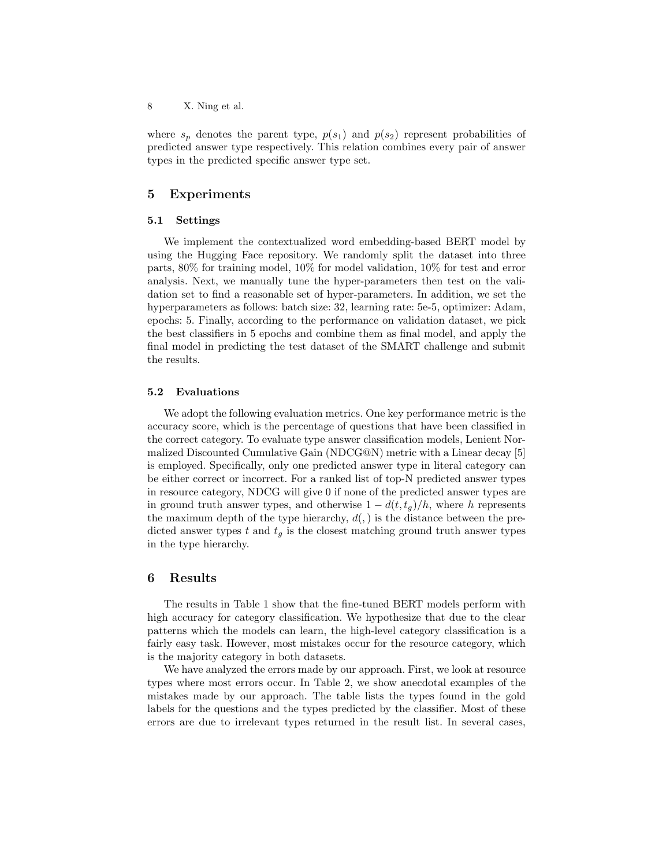where  $s_p$  denotes the parent type,  $p(s_1)$  and  $p(s_2)$  represent probabilities of predicted answer type respectively. This relation combines every pair of answer types in the predicted specific answer type set.

## 5 Experiments

#### 5.1 Settings

We implement the contextualized word embedding-based BERT model by using the Hugging Face repository. We randomly split the dataset into three parts, 80% for training model, 10% for model validation, 10% for test and error analysis. Next, we manually tune the hyper-parameters then test on the validation set to find a reasonable set of hyper-parameters. In addition, we set the hyperparameters as follows: batch size: 32, learning rate: 5e-5, optimizer: Adam, epochs: 5. Finally, according to the performance on validation dataset, we pick the best classifiers in 5 epochs and combine them as final model, and apply the final model in predicting the test dataset of the SMART challenge and submit the results.

#### 5.2 Evaluations

We adopt the following evaluation metrics. One key performance metric is the accuracy score, which is the percentage of questions that have been classified in the correct category. To evaluate type answer classification models, Lenient Normalized Discounted Cumulative Gain (NDCG@N) metric with a Linear decay [5] is employed. Specifically, only one predicted answer type in literal category can be either correct or incorrect. For a ranked list of top-N predicted answer types in resource category, NDCG will give 0 if none of the predicted answer types are in ground truth answer types, and otherwise  $1 - d(t, t_q)/h$ , where h represents the maximum depth of the type hierarchy,  $d(.)$  is the distance between the predicted answer types  $t$  and  $t_g$  is the closest matching ground truth answer types in the type hierarchy.

### 6 Results

The results in Table 1 show that the fine-tuned BERT models perform with high accuracy for category classification. We hypothesize that due to the clear patterns which the models can learn, the high-level category classification is a fairly easy task. However, most mistakes occur for the resource category, which is the majority category in both datasets.

We have analyzed the errors made by our approach. First, we look at resource types where most errors occur. In Table 2, we show anecdotal examples of the mistakes made by our approach. The table lists the types found in the gold labels for the questions and the types predicted by the classifier. Most of these errors are due to irrelevant types returned in the result list. In several cases,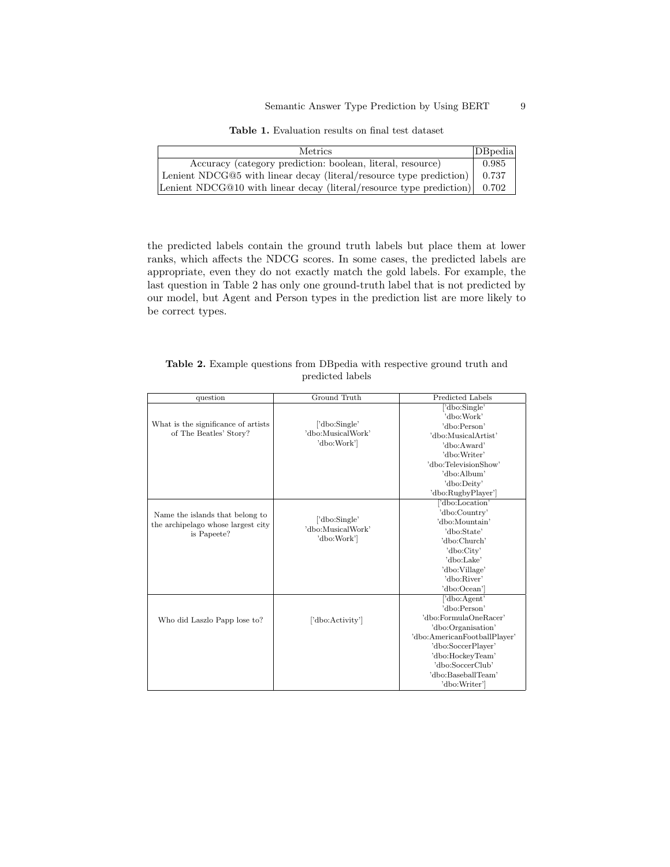Table 1. Evaluation results on final test dataset

| <b>Metrics</b>                                                                     | DBpedia |
|------------------------------------------------------------------------------------|---------|
| Accuracy (category prediction: boolean, literal, resource)                         | 0.985   |
| Lenient NDCG@5 with linear decay (literal/resource type prediction)                | 0.737   |
| Lenient NDCG@10 with linear decay (literal/resource type prediction) $\vert$ 0.702 |         |

the predicted labels contain the ground truth labels but place them at lower ranks, which affects the NDCG scores. In some cases, the predicted labels are appropriate, even they do not exactly match the gold labels. For example, the last question in Table 2 has only one ground-truth label that is not predicted by our model, but Agent and Person types in the prediction list are more likely to be correct types.

|                  | <b>Table 2.</b> Example questions from DB pedia with respective ground truth and |  |  |  |  |  |  |  |
|------------------|----------------------------------------------------------------------------------|--|--|--|--|--|--|--|
| predicted labels |                                                                                  |  |  |  |  |  |  |  |

| question                            | Ground Truth      | Predicted Labels             |  |  |  |
|-------------------------------------|-------------------|------------------------------|--|--|--|
|                                     |                   | dbo:Single'<br>'dbo:Work'    |  |  |  |
| What is the significance of artists | ['dbo:Single'     | 'dbo:Person'                 |  |  |  |
| of The Beatles' Story?              | 'dbo:MusicalWork' | 'dbo:MusicalArtist'          |  |  |  |
| 'dbo:Work'                          |                   | 'dbo:Award'                  |  |  |  |
|                                     |                   | 'dbo:Writer'                 |  |  |  |
|                                     |                   | 'dbo:TelevisionShow'         |  |  |  |
|                                     |                   | 'dbo:Album'                  |  |  |  |
|                                     |                   | 'dbo:Deity'                  |  |  |  |
|                                     |                   | 'dbo:RugbyPlayer']           |  |  |  |
|                                     |                   | ['dbo:Location'              |  |  |  |
| Name the islands that belong to     |                   | 'dbo:Country'                |  |  |  |
| the archipelago whose largest city  | ['dbo:Single'     | 'dbo:Mountain'               |  |  |  |
| is Papeete?                         | 'dbo:MusicalWork' | 'dbo:State'                  |  |  |  |
|                                     | 'dbo:Work'        | 'dbo:Church'                 |  |  |  |
|                                     |                   | 'dbo:City'                   |  |  |  |
|                                     |                   | 'dbo:Lake'                   |  |  |  |
|                                     |                   | 'dbo:Village'                |  |  |  |
|                                     |                   | 'dbo:River'                  |  |  |  |
|                                     |                   | 'dbo:Ocean']                 |  |  |  |
|                                     |                   | dbo:Agent                    |  |  |  |
|                                     |                   | 'dbo:Person'                 |  |  |  |
| Who did Laszlo Papp lose to?        | ['dbo:Activity']  | 'dbo:FormulaOneRacer'        |  |  |  |
|                                     |                   | 'dbo:Organisation'           |  |  |  |
|                                     |                   | 'dbo:AmericanFootballPlayer' |  |  |  |
|                                     |                   | 'dbo:SoccerPlayer'           |  |  |  |
|                                     |                   | 'dbo:HockeyTeam'             |  |  |  |
|                                     |                   | 'dbo:SoccerClub'             |  |  |  |
|                                     |                   | 'dbo:BaseballTeam'           |  |  |  |
|                                     |                   | 'dbo:Writer'                 |  |  |  |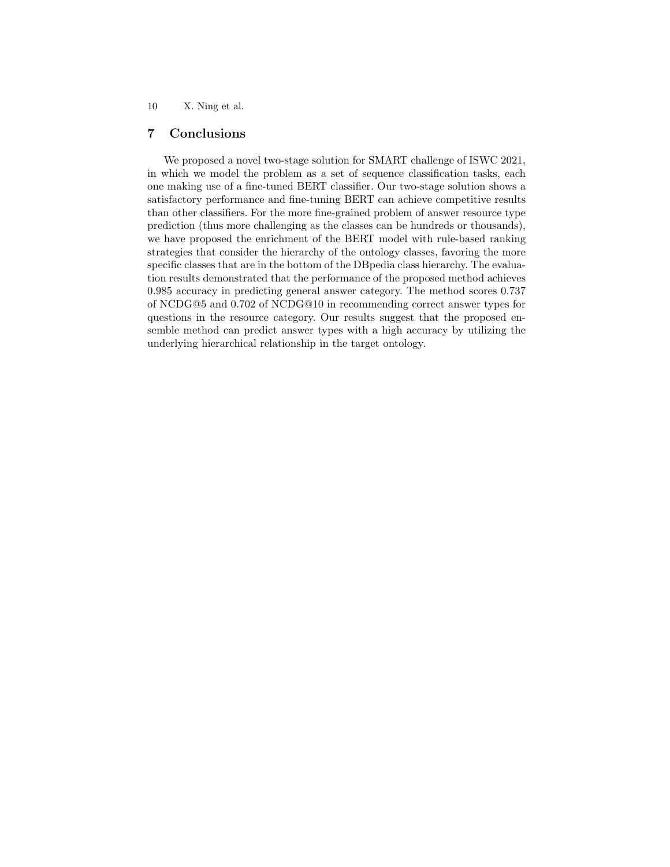## 7 Conclusions

We proposed a novel two-stage solution for SMART challenge of ISWC 2021, in which we model the problem as a set of sequence classification tasks, each one making use of a fine-tuned BERT classifier. Our two-stage solution shows a satisfactory performance and fine-tuning BERT can achieve competitive results than other classifiers. For the more fine-grained problem of answer resource type prediction (thus more challenging as the classes can be hundreds or thousands), we have proposed the enrichment of the BERT model with rule-based ranking strategies that consider the hierarchy of the ontology classes, favoring the more specific classes that are in the bottom of the DBpedia class hierarchy. The evaluation results demonstrated that the performance of the proposed method achieves 0.985 accuracy in predicting general answer category. The method scores 0.737 of NCDG@5 and 0.702 of NCDG@10 in recommending correct answer types for questions in the resource category. Our results suggest that the proposed ensemble method can predict answer types with a high accuracy by utilizing the underlying hierarchical relationship in the target ontology.